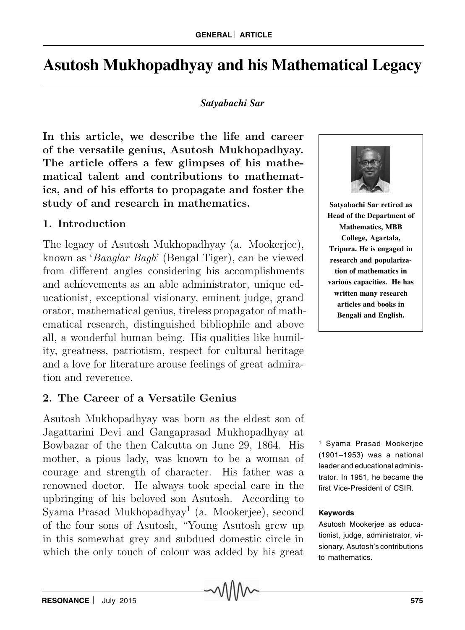# **Asutosh Mukhopadhyay and his Mathematical Legacy**

### *Satyabachi Sar*

In this article, we describe the life and career of the versatile genius, Asutosh Mukhopadhyay. The article offers a few glimpses of his mathematical talent and contributions to mathematics, and of his efforts to propagate and foster the study of and research in mathematics.

## 1. Introduction

The legacy of Asutosh Mukhopadhyay (a. Mookerjee), known as 'Banglar Bagh' (Bengal Tiger), can be viewed from different angles considering his accomplishments and achievements as an able administrator, unique educationist, exceptional visionary, eminent judge, grand orator, mathematical genius, tireless propagator of mathematical research, distinguished bibliophile and above all, a wonderful human being. His qualities like humility, greatness, patriotism, respect for cultural heritage and a love for literature arouse feelings of great admiration and reverence.

# 2. The Career of a Versatile Genius

Asutosh Mukhopadhyay was born as the eldest son of Jagattarini Devi and Gangaprasad Mukhopadhyay at Bowbazar of the then Calcutta on June 29, 1864. His mother, a pious lady, was known to be a woman of courage and strength of character. His father was a renowned doctor. He always took special care in the upbringing of his beloved son Asutosh. According to Syama Prasad Mukhopadhyay<sup>1</sup> (a. Mookerjee), second of the four sons of Asutosh, "Young Asutosh grew up in this somewhat grey and subdued domestic circle in which the only touch of colour was added by his great



**Satyabachi Sar retired as Head of the Department of Mathematics, MBB College, Agartala, Tripura. He is engaged in research and popularization of mathematics in various capacities. He has written many research articles and books in Bengali and English.**

1 Syama Prasad Mookerjee (1901–1953) was a national leader and educational administrator. In 1951, he became the first Vice-President of CSIR.

#### **Keywords**

Asutosh Mookerjee as educationist, judge, administrator, visionary, Asutosh's contributions to mathematics.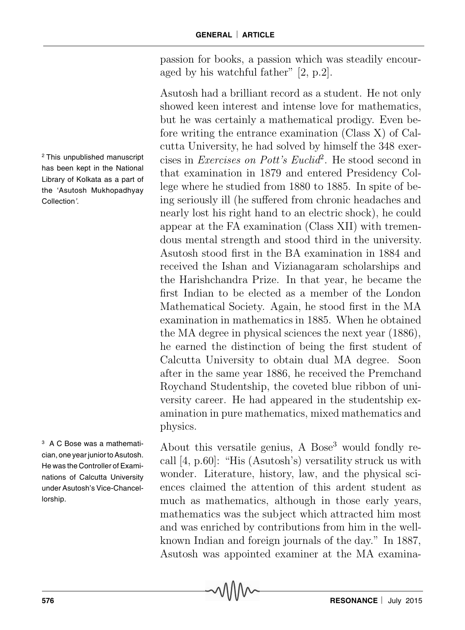passion for books, a passion which was steadily encouraged by his watchful father" [2, p.2].

Asutosh had a brilliant record as a student. He not only showed keen interest and intense love for mathematics, but he was certainly a mathematical prodigy. Even before writing the entrance examination (Class X) of Calcutta University, he had solved by himself the 348 exercises in *Exercises on Pott's Euclid*<sup>2</sup>. He stood second in that examination in 1879 and entered Presidency College where he studied from 1880 to 1885. In spite of being seriously ill (he suffered from chronic headaches and nearly lost his right hand to an electric shock), he could appear at the FA examination (Class XII) with tremendous mental strength and stood third in the university. Asutosh stood first in the BA examination in 1884 and received the Ishan and Vizianagaram scholarships and the Harishchandra Prize. In that year, he became the first Indian to be elected as a member of the London Mathematical Society. Again, he stood first in the MA examination in mathematics in 1885. When he obtained the MA degree in physical sciences the next year (1886), he earned the distinction of being the first student of Calcutta University to obtain dual MA degree. Soon after in the same year 1886, he received the Premchand Roychand Studentship, the coveted blue ribbon of university career. He had appeared in the studentship examination in pure mathematics, mixed mathematics and physics.

About this versatile genius, A Bose<sup>3</sup> would fondly recall [4, p.60]: "His (Asutosh's) versatility struck us with wonder. Literature, history, law, and the physical sciences claimed the attention of this ardent student as much as mathematics, although in those early years, mathematics was the subject which attracted him most and was enriched by contributions from him in the wellknown Indian and foreign journals of the day." In 1887, Asutosh was appointed examiner at the MA examina-

<sup>2</sup>This unpublished manuscript has been kept in the National Library of Kolkata as a part of the 'Asutosh Mukhopadhyay Collection'.

3 A C Bose was a mathematician, one year junior to Asutosh. He was the Controller of Examinations of Calcutta University under Asutosh's Vice-Chancellorship.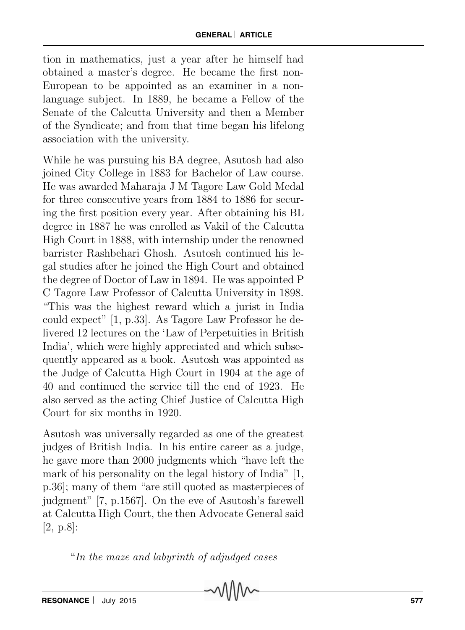tion in mathematics, just a year after he himself had obtained a master's degree. He became the first non-European to be appointed as an examiner in a nonlanguage subject. In 1889, he became a Fellow of the Senate of the Calcutta University and then a Member of the Syndicate; and from that time began his lifelong association with the university.

While he was pursuing his BA degree, Asutosh had also joined City College in 1883 for Bachelor of Law course. He was awarded Maharaja J M Tagore Law Gold Medal for three consecutive years from 1884 to 1886 for securing the first position every year. After obtaining his BL degree in 1887 he was enrolled as Vakil of the Calcutta High Court in 1888, with internship under the renowned barrister Rashbehari Ghosh. Asutosh continued his legal studies after he joined the High Court and obtained the degree of Doctor of Law in 1894. He was appointed P C Tagore Law Professor of Calcutta University in 1898. "This was the highest reward which a jurist in India could expect" [1, p.33]. As Tagore Law Professor he delivered 12 lectures on the 'Law of Perpetuities in British India', which were highly appreciated and which subsequently appeared as a book. Asutosh was appointed as the Judge of Calcutta High Court in 1904 at the age of 40 and continued the service till the end of 1923. He also served as the acting Chief Justice of Calcutta High Court for six months in 1920.

Asutosh was universally regarded as one of the greatest judges of British India. In his entire career as a judge, he gave more than 2000 judgments which "have left the mark of his personality on the legal history of India" [1, p.36]; many of them "are still quoted as masterpieces of judgment" [7, p.1567]. On the eve of Asutosh's farewell at Calcutta High Court, the then Advocate General said [2, p.8]:

"In the maze and labyrinth of adjudged cases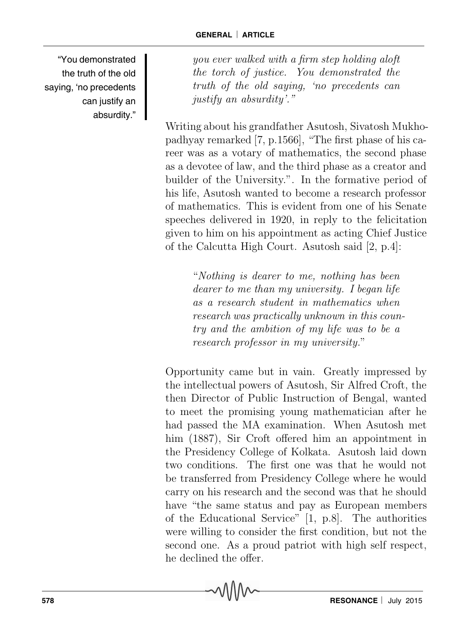"You demonstrated the truth of the old saying, 'no precedents can justify an absurdity."

you ever walked with a firm step holding aloft the torch of justice. You demonstrated the truth of the old saying, 'no precedents can justify an absurdity'."

Writing about his grandfather Asutosh, Sivatosh Mukhopadhyay remarked [7, p.1566], "The first phase of his career was as a votary of mathematics, the second phase as a devotee of law, and the third phase as a creator and builder of the University.". In the formative period of his life, Asutosh wanted to become a research professor of mathematics. This is evident from one of his Senate speeches delivered in 1920, in reply to the felicitation given to him on his appointment as acting Chief Justice of the Calcutta High Court. Asutosh said [2, p.4]:

> "Nothing is dearer to me, nothing has been dearer to me than my university. I began life as a research student in mathematics when research was practically unknown in this country and the ambition of my life was to be a research professor in my university."

Opportunity came but in vain. Greatly impressed by the intellectual powers of Asutosh, Sir Alfred Croft, the then Director of Public Instruction of Bengal, wanted to meet the promising young mathematician after he had passed the MA examination. When Asutosh met him (1887), Sir Croft offered him an appointment in the Presidency College of Kolkata. Asutosh laid down two conditions. The first one was that he would not be transferred from Presidency College where he would carry on his research and the second was that he should have "the same status and pay as European members of the Educational Service" [1, p.8]. The authorities were willing to consider the first condition, but not the second one. As a proud patriot with high self respect, he declined the offer.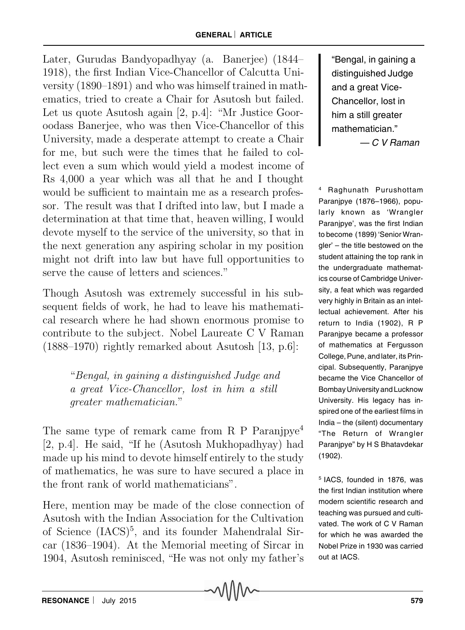Later, Gurudas Bandyopadhyay (a. Banerjee) (1844– 1918), the first Indian Vice-Chancellor of Calcutta University (1890–1891) and who was himself trained in mathematics, tried to create a Chair for Asutosh but failed. Let us quote Asutosh again [2, p.4]: "Mr Justice Gooroodass Banerjee, who was then Vice-Chancellor of this University, made a desperate attempt to create a Chair for me, but such were the times that he failed to collect even a sum which would yield a modest income of Rs 4,000 a year which was all that he and I thought would be sufficient to maintain me as a research professor. The result was that I drifted into law, but I made a determination at that time that, heaven willing, I would devote myself to the service of the university, so that in the next generation any aspiring scholar in my position might not drift into law but have full opportunities to serve the cause of letters and sciences."

Though Asutosh was extremely successful in his subsequent fields of work, he had to leave his mathematical research where he had shown enormous promise to contribute to the subject. Nobel Laureate C V Raman (1888–1970) rightly remarked about Asutosh [13, p.6]:

> "Bengal, in gaining a distinguished Judge and a great Vice-Chancellor, lost in him a still greater mathematician."

The same type of remark came from R P Paranjpye<sup>4</sup> [2, p.4]. He said, "If he (Asutosh Mukhopadhyay) had made up his mind to devote himself entirely to the study of mathematics, he was sure to have secured a place in the front rank of world mathematicians".

Here, mention may be made of the close connection of Asutosh with the Indian Association for the Cultivation of Science (IACS)<sup>5</sup>, and its founder Mahendralal Sircar (1836–1904). At the Memorial meeting of Sircar in 1904, Asutosh reminisced, "He was not only my father's

"Bengal, in gaining a distinguished Judge and a great Vice-Chancellor, lost in him a still greater mathematician." — C V Raman

4 Raghunath Purushottam Paranjpye (1876–1966), popularly known as 'Wrangler Paranjpye', was the first Indian to become (1899) 'Senior Wrangler' – the title bestowed on the student attaining the top rank in the undergraduate mathematics course of Cambridge University, a feat which was regarded very highly in Britain as an intellectual achievement. After his return to India (1902), R P Paranjpye became a professor of mathematics at Fergusson College, Pune, and later, its Principal. Subsequently, Paranjpye became the Vice Chancellor of Bombay University and Lucknow University. His legacy has inspired one of the earliest films in India – the (silent) documentary "The Return of Wrangler Paranjpye" by H S Bhatavdekar (1902).

5 IACS, founded in 1876, was the first Indian institution where modern scientific research and teaching was pursued and cultivated. The work of C V Raman for which he was awarded the Nobel Prize in 1930 was carried out at IACS.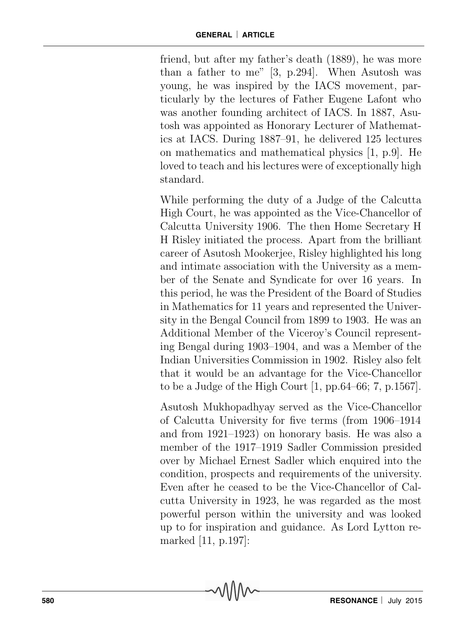friend, but after my father's death (1889), he was more than a father to me" [3, p.294]. When Asutosh was young, he was inspired by the IACS movement, particularly by the lectures of Father Eugene Lafont who was another founding architect of IACS. In 1887, Asutosh was appointed as Honorary Lecturer of Mathematics at IACS. During 1887–91, he delivered 125 lectures on mathematics and mathematical physics [1, p.9]. He loved to teach and his lectures were of exceptionally high standard.

While performing the duty of a Judge of the Calcutta High Court, he was appointed as the Vice-Chancellor of Calcutta University 1906. The then Home Secretary H H Risley initiated the process. Apart from the brilliant career of Asutosh Mookerjee, Risley highlighted his long and intimate association with the University as a member of the Senate and Syndicate for over 16 years. In this period, he was the President of the Board of Studies in Mathematics for 11 years and represented the University in the Bengal Council from 1899 to 1903. He was an Additional Member of the Viceroy's Council representing Bengal during 1903–1904, and was a Member of the Indian Universities Commission in 1902. Risley also felt that it would be an advantage for the Vice-Chancellor to be a Judge of the High Court  $[1, pp.64–66; 7, p.1567]$ .

Asutosh Mukhopadhyay served as the Vice-Chancellor of Calcutta University for five terms (from 1906–1914 and from 1921–1923) on honorary basis. He was also a member of the 1917–1919 Sadler Commission presided over by Michael Ernest Sadler which enquired into the condition, prospects and requirements of the university. Even after he ceased to be the Vice-Chancellor of Calcutta University in 1923, he was regarded as the most powerful person within the university and was looked up to for inspiration and guidance. As Lord Lytton remarked [11, p.197]: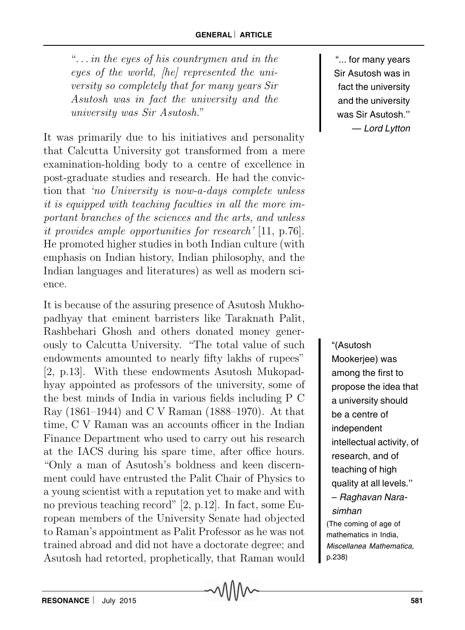" $\ldots$  in the eyes of his countrymen and in the eyes of the world, [he] represented the university so completely that for many years Sir Asutosh was in fact the university and the university was Sir Asutosh."

It was primarily due to his initiatives and personality that Calcutta University got transformed from a mere examination-holding body to a centre of excellence in post-graduate studies and research. He had the conviction that 'no University is now-a-days complete unless it is equipped with teaching faculties in all the more important branches of the sciences and the arts, and unless it provides ample opportunities for research' [11, p.76]. He promoted higher studies in both Indian culture (with emphasis on Indian history, Indian philosophy, and the Indian languages and literatures) as well as modern science.

It is because of the assuring presence of Asutosh Mukhopadhyay that eminent barristers like Taraknath Palit, Rashbehari Ghosh and others donated money generously to Calcutta University. "The total value of such endowments amounted to nearly fifty lakhs of rupees" [2, p.13]. With these endowments Asutosh Mukopadhyay appointed as professors of the university, some of the best minds of India in various fields including P C Ray (1861–1944) and C V Raman (1888–1970). At that time, C V Raman was an accounts officer in the Indian Finance Department who used to carry out his research at the IACS during his spare time, after office hours. "Only a man of Asutosh's boldness and keen discernment could have entrusted the Palit Chair of Physics to a young scientist with a reputation yet to make and with no previous teaching record" [2, p.12]. In fact, some European members of the University Senate had objected to Raman's appointment as Palit Professor as he was not trained abroad and did not have a doctorate degree; and Asutosh had retorted, prophetically, that Raman would

"... for many years Sir Asutosh was in fact the university and the university was Sir Asutosh.'' — Lord Lytton

"(Asutosh Mookerjee) was among the first to propose the idea that a university should be a centre of independent intellectual activity, of research, and of teaching of high quality at all levels.'' – Raghavan Narasimhan (The coming of age of mathematics in India, Miscellanea Mathematica, p.238)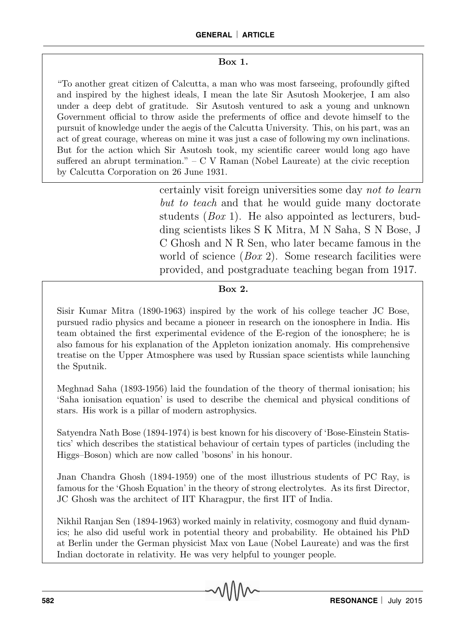#### Box 1.

"To another great citizen of Calcutta, a man who was most farseeing, profoundly gifted and inspired by the highest ideals, I mean the late Sir Asutosh Mookerjee, I am also under a deep debt of gratitude. Sir Asutosh ventured to ask a young and unknown Government official to throw aside the preferments of office and devote himself to the pursuit of knowledge under the aegis of the Calcutta University. This, on his part, was an act of great courage, whereas on mine it was just a case of following my own inclinations. But for the action which Sir Asutosh took, my scientific career would long ago have suffered an abrupt termination." – C V Raman (Nobel Laureate) at the civic reception by Calcutta Corporation on 26 June 1931.

> certainly visit foreign universities some day not to learn but to teach and that he would guide many doctorate students (Box 1). He also appointed as lecturers, budding scientists likes S K Mitra, M N Saha, S N Bose, J C Ghosh and N R Sen, who later became famous in the world of science (*Box 2*). Some research facilities were provided, and postgraduate teaching began from 1917.

### Box 2.

Sisir Kumar Mitra (1890-1963) inspired by the work of his college teacher JC Bose, pursued radio physics and became a pioneer in research on the ionosphere in India. His team obtained the first experimental evidence of the E-region of the ionosphere; he is also famous for his explanation of the Appleton ionization anomaly. His comprehensive treatise on the Upper Atmosphere was used by Russian space scientists while launching the Sputnik.

Meghnad Saha (1893-1956) laid the foundation of the theory of thermal ionisation; his 'Saha ionisation equation' is used to describe the chemical and physical conditions of stars. His work is a pillar of modern astrophysics.

Satyendra Nath Bose (1894-1974) is best known for his discovery of 'Bose-Einstein Statistics' which describes the statistical behaviour of certain types of particles (including the Higgs–Boson) which are now called 'bosons' in his honour.

Jnan Chandra Ghosh (1894-1959) one of the most illustrious students of PC Ray, is famous for the 'Ghosh Equation' in the theory of strong electrolytes. As its first Director, JC Ghosh was the architect of IIT Kharagpur, the first IIT of India.

Nikhil Ranjan Sen (1894-1963) worked mainly in relativity, cosmogony and fluid dynamics; he also did useful work in potential theory and probability. He obtained his PhD at Berlin under the German physicist Max von Laue (Nobel Laureate) and was the first Indian doctorate in relativity. He was very helpful to younger people.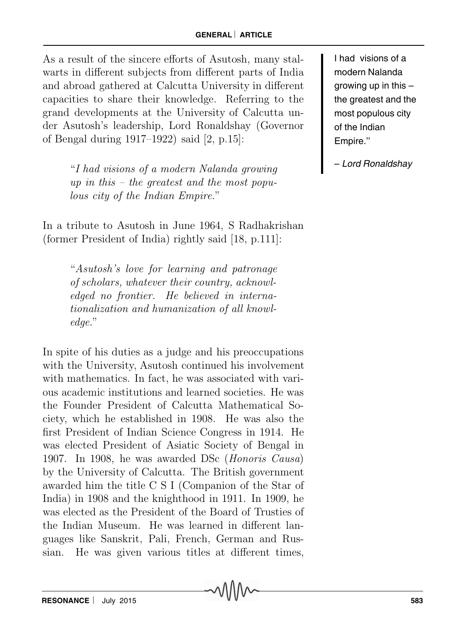As a result of the sincere efforts of Asutosh, many stalwarts in different subjects from different parts of India and abroad gathered at Calcutta University in different capacities to share their knowledge. Referring to the grand developments at the University of Calcutta under Asutosh's leadership, Lord Ronaldshay (Governor of Bengal during 1917–1922) said [2, p.15]:

> "I had visions of a modern Nalanda growing up in this – the greatest and the most populous city of the Indian Empire."

In a tribute to Asutosh in June 1964, S Radhakrishan (former President of India) rightly said [18, p.111]:

> "Asutosh's love for learning and patronage of scholars, whatever their country, acknowledged no frontier. He believed in internationalization and humanization of all knowledge."

In spite of his duties as a judge and his preoccupations with the University, Asutosh continued his involvement with mathematics. In fact, he was associated with various academic institutions and learned societies. He was the Founder President of Calcutta Mathematical Society, which he established in 1908. He was also the first President of Indian Science Congress in 1914. He was elected President of Asiatic Society of Bengal in 1907. In 1908, he was awarded DSc (Honoris Causa) by the University of Calcutta. The British government awarded him the title C S I (Companion of the Star of India) in 1908 and the knighthood in 1911. In 1909, he was elected as the President of the Board of Trusties of the Indian Museum. He was learned in different languages like Sanskrit, Pali, French, German and Russian. He was given various titles at different times,

I had visions of a modern Nalanda growing up in this – the greatest and the most populous city of the Indian Empire.''

– Lord Ronaldshay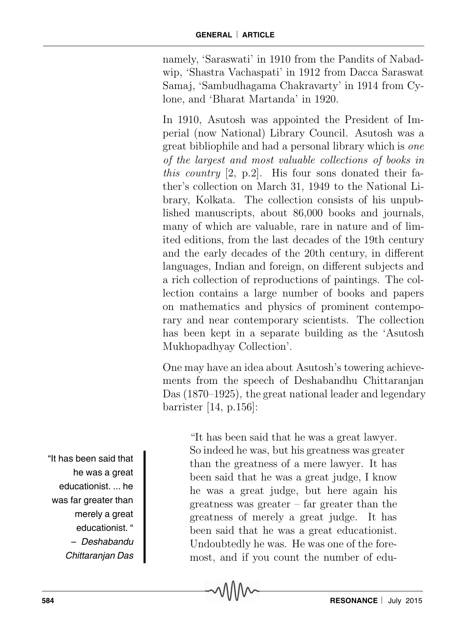namely, 'Saraswati' in 1910 from the Pandits of Nabadwip, 'Shastra Vachaspati' in 1912 from Dacca Saraswat Samaj, 'Sambudhagama Chakravarty' in 1914 from Cylone, and 'Bharat Martanda' in 1920.

In 1910, Asutosh was appointed the President of Imperial (now National) Library Council. Asutosh was a great bibliophile and had a personal library which is one of the largest and most valuable collections of books in this country  $[2, p.2]$ . His four sons donated their father's collection on March 31, 1949 to the National Library, Kolkata. The collection consists of his unpublished manuscripts, about 86,000 books and journals, many of which are valuable, rare in nature and of limited editions, from the last decades of the 19th century and the early decades of the 20th century, in different languages, Indian and foreign, on different subjects and a rich collection of reproductions of paintings. The collection contains a large number of books and papers on mathematics and physics of prominent contemporary and near contemporary scientists. The collection has been kept in a separate building as the 'Asutosh Mukhopadhyay Collection'.

One may have an idea about Asutosh's towering achievements from the speech of Deshabandhu Chittaranjan Das (1870–1925), the great national leader and legendary barrister [14, p.156]:

"It has been said that he was a great lawyer. So indeed he was, but his greatness was greater than the greatness of a mere lawyer. It has been said that he was a great judge, I know he was a great judge, but here again his greatness was greater – far greater than the greatness of merely a great judge. It has been said that he was a great educationist. Undoubtedly he was. He was one of the foremost, and if you count the number of edu-

"It has been said that he was a great educationist. ... he was far greater than merely a great educationist. " – Deshabandu Chittaranjan Das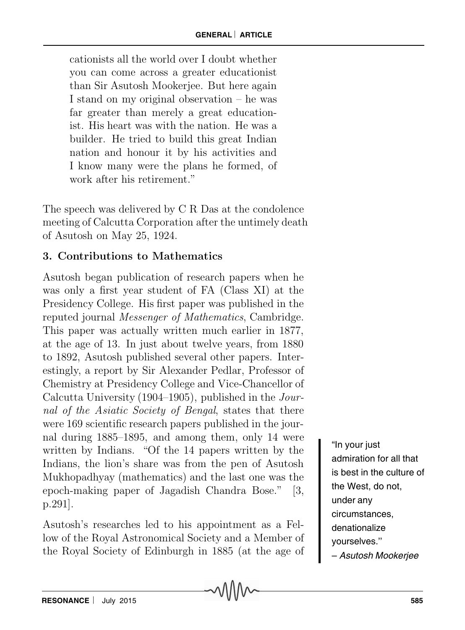cationists all the world over I doubt whether you can come across a greater educationist than Sir Asutosh Mookerjee. But here again I stand on my original observation – he was far greater than merely a great educationist. His heart was with the nation. He was a builder. He tried to build this great Indian nation and honour it by his activities and I know many were the plans he formed, of work after his retirement."

The speech was delivered by C R Das at the condolence meeting of Calcutta Corporation after the untimely death of Asutosh on May 25, 1924.

## 3. Contributions to Mathematics

Asutosh began publication of research papers when he was only a first year student of FA (Class XI) at the Presidency College. His first paper was published in the reputed journal Messenger of Mathematics, Cambridge. This paper was actually written much earlier in 1877, at the age of 13. In just about twelve years, from 1880 to 1892, Asutosh published several other papers. Interestingly, a report by Sir Alexander Pedlar, Professor of Chemistry at Presidency College and Vice-Chancellor of Calcutta University (1904–1905), published in the Journal of the Asiatic Society of Bengal, states that there were 169 scientific research papers published in the journal during 1885–1895, and among them, only 14 were written by Indians. "Of the 14 papers written by the Indians, the lion's share was from the pen of Asutosh Mukhopadhyay (mathematics) and the last one was the epoch-making paper of Jagadish Chandra Bose." [3, p.291].

Asutosh's researches led to his appointment as a Fellow of the Royal Astronomical Society and a Member of the Royal Society of Edinburgh in 1885 (at the age of

"In your just admiration for all that is best in the culture of the West, do not, under any circumstances, denationalize yourselves.'' – Asutosh Mookerjee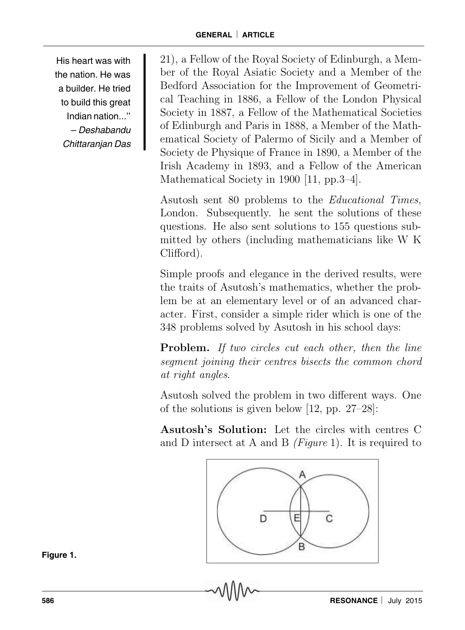His heart was with the nation. He was a builder. He tried to build this great Indian nation..." – Deshabandu Chittaranjan Das

21), a Fellow of the Royal Society of Edinburgh, a Member of the Royal Asiatic Society and a Member of the Bedford Association for the Improvement of Geometrical Teaching in 1886, a Fellow of the London Physical Society in 1887, a Fellow of the Mathematical Societies of Edinburgh and Paris in 1888, a Member of the Mathematical Society of Palermo of Sicily and a Member of Society de Physique of France in 1890, a Member of the Irish Academy in 1893, and a Fellow of the American Mathematical Society in 1900 [11, pp.3–4].

Asutosh sent 80 problems to the Educational Times, London. Subsequently. he sent the solutions of these questions. He also sent solutions to 155 questions submitted by others (including mathematicians like W K Clifford).

Simple proofs and elegance in the derived results, were the traits of Asutosh's mathematics, whether the problem be at an elementary level or of an advanced character. First, consider a simple rider which is one of the 348 problems solved by Asutosh in his school days:

Problem. If two circles cut each other, then the line segment joining their centres bisects the common chord at right angles.

Asutosh solved the problem in two different ways. One of the solutions is given below [12, pp. 27–28]:

Asutosh's Solution: Let the circles with centres C and D intersect at A and B  $(Figure 1)$ . It is required to



**Figure 1.**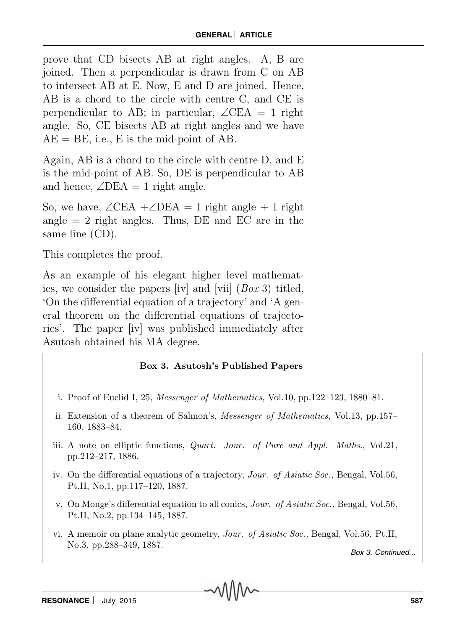prove that CD bisects AB at right angles. A, B are joined. Then a perpendicular is drawn from C on AB to intersect AB at E. Now, E and D are joined. Hence, AB is a chord to the circle with centre C, and CE is perpendicular to AB; in particular,  $\angle$ CEA = 1 right angle. So, CE bisects AB at right angles and we have  $AE = BE$ , i.e., E is the mid-point of AB.

Again, AB is a chord to the circle with centre D, and E is the mid-point of AB. So, DE is perpendicular to AB and hence,  $\angle$ DEA = 1 right angle.

So, we have,  $\angle$ CEA + $\angle$ DEA = 1 right angle + 1 right angle  $= 2$  right angles. Thus, DE and EC are in the same line (CD).

This completes the proof.

As an example of his elegant higher level mathematics, we consider the papers [iv] and [vii] (Box 3) titled, 'On the differential equation of a trajectory' and 'A general theorem on the differential equations of trajectories'. The paper [iv] was published immediately after Asutosh obtained his MA degree.

#### Box 3. Asutosh's Published Papers

- i. Proof of Euclid I, 25, Messenger of Mathematics, Vol.10, pp.122–123, 1880–81.
- ii. Extension of a theorem of Salmon's, Messenger of Mathematics, Vol.13, pp.157– 160, 1883–84.
- iii. A note on elliptic functions, Quart. Jour. of Pure and Appl. Maths., Vol.21, pp.212–217, 1886.
- iv. On the differential equations of a trajectory, Jour. of Asiatic Soc., Bengal, Vol.56, Pt.II, No.1, pp.117–120, 1887.
- v. On Monge's differential equation to all conics, Jour. of Asiatic Soc., Bengal, Vol.56, Pt.II, No.2, pp.134–145, 1887.
- vi. A memoir on plane analytic geometry, Jour. of Asiatic Soc., Bengal, Vol.56. Pt.II, No.3, pp.288–349, 1887.

```
Box 3. Continued...
```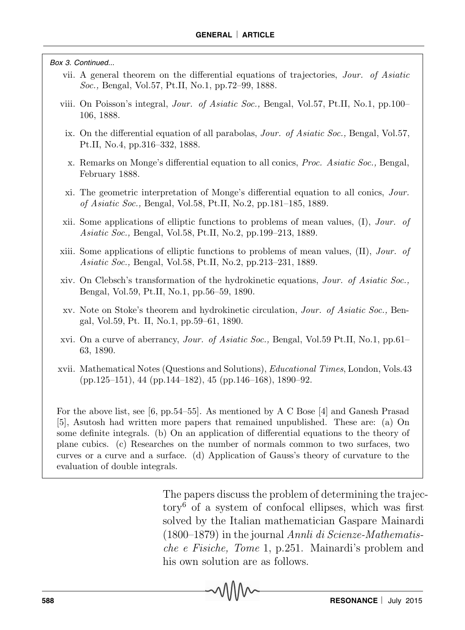Box 3. Continued...

- vii. A general theorem on the differential equations of trajectories, Jour. of Asiatic Soc., Bengal, Vol.57, Pt.II, No.1, pp.72–99, 1888.
- viii. On Poisson's integral, Jour. of Asiatic Soc., Bengal, Vol.57, Pt.II, No.1, pp.100– 106, 1888.
	- ix. On the differential equation of all parabolas, Jour. of Asiatic Soc., Bengal, Vol.57, Pt.II, No.4, pp.316–332, 1888.
	- x. Remarks on Monge's differential equation to all conics, Proc. Asiatic Soc., Bengal, February 1888.
	- xi. The geometric interpretation of Monge's differential equation to all conics, Jour. of Asiatic Soc., Bengal, Vol.58, Pt.II, No.2, pp.181–185, 1889.
- xii. Some applications of elliptic functions to problems of mean values,  $(I)$ , Jour. of Asiatic Soc., Bengal, Vol.58, Pt.II, No.2, pp.199–213, 1889.
- xiii. Some applications of elliptic functions to problems of mean values,  $(II)$ , Jour. of Asiatic Soc., Bengal, Vol.58, Pt.II, No.2, pp.213–231, 1889.
- xiv. On Clebsch's transformation of the hydrokinetic equations, Jour. of Asiatic Soc., Bengal, Vol.59, Pt.II, No.1, pp.56–59, 1890.
- xv. Note on Stoke's theorem and hydrokinetic circulation, Jour. of Asiatic Soc., Bengal, Vol.59, Pt. II, No.1, pp.59–61, 1890.
- xvi. On a curve of aberrancy, Jour. of Asiatic Soc., Bengal, Vol.59 Pt.II, No.1, pp.61– 63, 1890.
- xvii. Mathematical Notes (Questions and Solutions), Educational Times, London, Vols.43 (pp.125–151), 44 (pp.144–182), 45 (pp.146–168), 1890–92.

For the above list, see [6, pp.54–55]. As mentioned by A C Bose [4] and Ganesh Prasad [5], Asutosh had written more papers that remained unpublished. These are: (a) On some definite integrals. (b) On an application of differential equations to the theory of plane cubics. (c) Researches on the number of normals common to two surfaces, two curves or a curve and a surface. (d) Application of Gauss's theory of curvature to the evaluation of double integrals.

> The papers discuss the problem of determining the trajectory<sup>6</sup> of a system of confocal ellipses, which was first solved by the Italian mathematician Gaspare Mainardi  $(1800-1879)$  in the journal Annli di Scienze-Mathematische e Fisiche, Tome 1, p.251. Mainardi's problem and his own solution are as follows.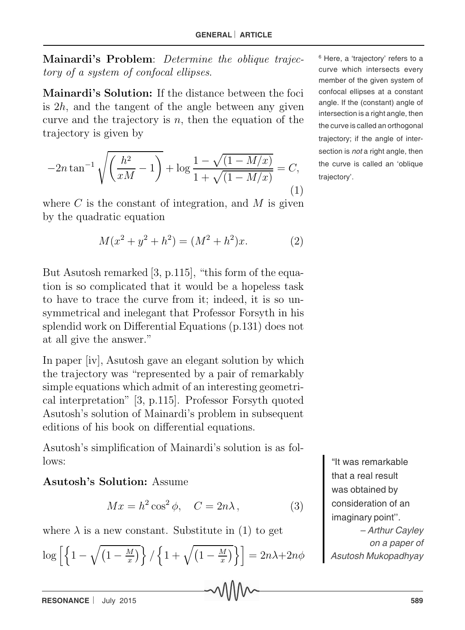Mainardi's Problem: Determine the oblique trajectory of a system of confocal ellipses.

Mainardi's Solution: If the distance between the foci is  $2h$ , and the tangent of the angle between any given curve and the trajectory is  $n$ , then the equation of the trajectory is given by

$$
-2n\tan^{-1}\sqrt{\left(\frac{h^2}{xM}-1\right)} + \log\frac{1-\sqrt{(1-M/x)}}{1+\sqrt{(1-M/x)}} = C,
$$
\n(1)

where  $C$  is the constant of integration, and  $M$  is given by the quadratic equation

$$
M(x^2 + y^2 + h^2) = (M^2 + h^2)x.
$$
 (2)

But Asutosh remarked [3, p.115], "this form of the equation is so complicated that it would be a hopeless task to have to trace the curve from it; indeed, it is so unsymmetrical and inelegant that Professor Forsyth in his splendid work on Differential Equations (p.131) does not at all give the answer."

In paper [iv], Asutosh gave an elegant solution by which the trajectory was "represented by a pair of remarkably simple equations which admit of an interesting geometrical interpretation" [3, p.115]. Professor Forsyth quoted Asutosh's solution of Mainardi's problem in subsequent editions of his book on differential equations.

Asutosh's simplification of Mainardi's solution is as follows:

### Asutosh's Solution: Assume

$$
Mx = h^2 \cos^2 \phi, \quad C = 2n\lambda,
$$
 (3)

where  $\lambda$  is a new constant. Substitute in (1) to get

$$
\log\left[\left\{1-\sqrt{\left(1-\frac{M}{x}\right)}\right\}/\left\{1+\sqrt{\left(1-\frac{M}{x}\right)}\right\}\right]=2n\lambda+2n\phi
$$

6 Here, a 'trajectory' refers to a curve which intersects every member of the given system of confocal ellipses at a constant angle. If the (constant) angle of intersection is a right angle, then the curve is called an orthogonal trajectory; if the angle of intersection is *not* a right angle, then the curve is called an 'oblique trajectory'.

> "It was remarkable that a real result was obtained by consideration of an imaginary point''. – Arthur Cayley on a paper of Asutosh Mukopadhyay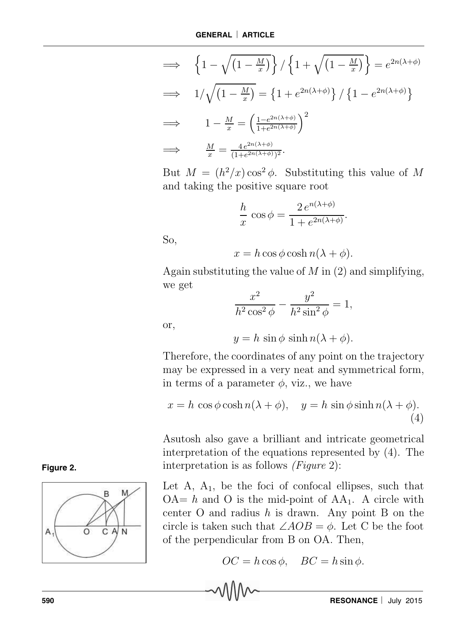$$
\implies \left\{1 - \sqrt{\left(1 - \frac{M}{x}\right)}\right\} / \left\{1 + \sqrt{\left(1 - \frac{M}{x}\right)}\right\} = e^{2n(\lambda + \phi)}
$$
\n
$$
\implies 1 / \sqrt{\left(1 - \frac{M}{x}\right)} = \left\{1 + e^{2n(\lambda + \phi)}\right\} / \left\{1 - e^{2n(\lambda + \phi)}\right\}
$$
\n
$$
\implies 1 - \frac{M}{x} = \left(\frac{1 - e^{2n(\lambda + \phi)}}{1 + e^{2n(\lambda + \phi)}}\right)^2
$$
\n
$$
\implies \frac{M}{x} = \frac{4e^{2n(\lambda + \phi)}}{(1 + e^{2n(\lambda + \phi)})^2}.
$$

But  $M = (h^2/x) \cos^2 \phi$ . Substituting this value of M and taking the positive square root

$$
\frac{h}{x}\cos\phi = \frac{2\,e^{n(\lambda+\phi)}}{1+e^{2n(\lambda+\phi)}}.
$$

So,

$$
x = h\cos\phi\cosh n(\lambda + \phi).
$$

Again substituting the value of  $M$  in  $(2)$  and simplifying, we get

$$
\frac{x^2}{h^2\cos^2\phi} - \frac{y^2}{h^2\sin^2\phi} = 1,
$$

or,

 $y = h \sin \phi \sinh n(\lambda + \phi)$ .

Therefore, the coordinates of any point on the trajectory may be expressed in a very neat and symmetrical form, in terms of a parameter  $\phi$ , viz., we have

$$
x = h \cos \phi \cosh n(\lambda + \phi), \quad y = h \sin \phi \sinh n(\lambda + \phi).
$$
\n(4)

Asutosh also gave a brilliant and intricate geometrical interpretation of the equations represented by (4). The interpretation is as follows (Figure 2):

Let  $A$ ,  $A_1$ , be the foci of confocal ellipses, such that  $OA = h$  and O is the mid-point of  $AA_1$ . A circle with center  $O$  and radius  $h$  is drawn. Any point  $B$  on the circle is taken such that  $\angle AOB = \phi$ . Let C be the foot of the perpendicular from B on OA. Then,

$$
OC = h\cos\phi, \quad BC = h\sin\phi.
$$



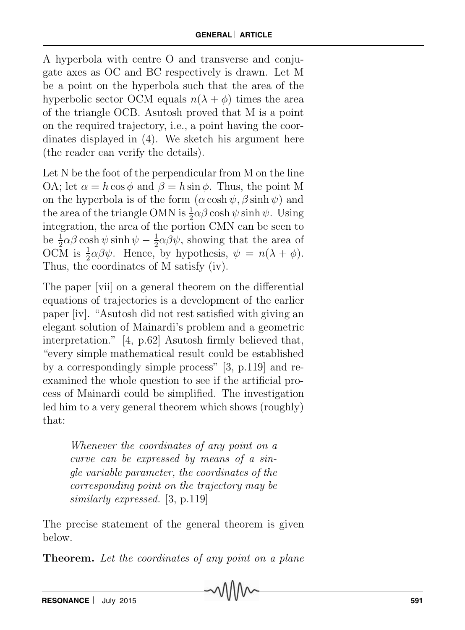A hyperbola with centre O and transverse and conjugate axes as OC and BC respectively is drawn. Let M be a point on the hyperbola such that the area of the hyperbolic sector OCM equals  $n(\lambda + \phi)$  times the area of the triangle OCB. Asutosh proved that M is a point on the required trajectory, i.e., a point having the coordinates displayed in (4). We sketch his argument here (the reader can verify the details).

Let N be the foot of the perpendicular from M on the line OA; let  $\alpha = h \cos \phi$  and  $\beta = h \sin \phi$ . Thus, the point M on the hyperbola is of the form  $(\alpha \cosh \psi, \beta \sinh \psi)$  and the area of the triangle OMN is  $\frac{1}{2}\alpha\beta \cosh \psi \sinh \psi$ . Using integration, the area of the portion CMN can be seen to be  $\frac{1}{2}\alpha\beta\cosh\psi\sinh\psi - \frac{1}{2}$  $\frac{1}{2}\alpha\beta\psi$ , showing that the area of OCM is  $\frac{1}{2}\alpha\beta\psi$ . Hence, by hypothesis,  $\psi = n(\lambda + \phi)$ . Thus, the coordinates of M satisfy (iv).

The paper [vii] on a general theorem on the differential equations of trajectories is a development of the earlier paper [iv]. "Asutosh did not rest satisfied with giving an elegant solution of Mainardi's problem and a geometric interpretation." [4, p.62] Asutosh firmly believed that, "every simple mathematical result could be established by a correspondingly simple process" [3, p.119] and reexamined the whole question to see if the artificial process of Mainardi could be simplified. The investigation led him to a very general theorem which shows (roughly) that:

> Whenever the coordinates of any point on a curve can be expressed by means of a single variable parameter, the coordinates of the corresponding point on the trajectory may be similarly expressed. [3, p.119]

The precise statement of the general theorem is given below.

**Theorem.** Let the coordinates of any point on a plane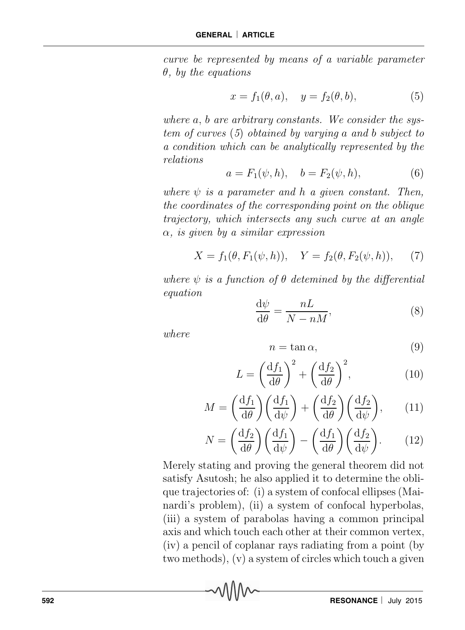curve be represented by means of a variable parameter θ, by the equations

$$
x = f_1(\theta, a), \quad y = f_2(\theta, b), \tag{5}
$$

where  $a, b$  are arbitrary constants. We consider the system of curves (5) obtained by varying a and b subject to a condition which can be analytically represented by the relations

$$
a = F_1(\psi, h), \quad b = F_2(\psi, h), \tag{6}
$$

where  $\psi$  is a parameter and h a given constant. Then, the coordinates of the corresponding point on the oblique trajectory, which intersects any such curve at an angle  $\alpha$ , is given by a similar expression

$$
X = f_1(\theta, F_1(\psi, h)), \quad Y = f_2(\theta, F_2(\psi, h)), \quad (7)
$$

where  $\psi$  is a function of  $\theta$  detemined by the differential equation

$$
\frac{\mathrm{d}\psi}{\mathrm{d}\theta} = \frac{nL}{N - nM},\tag{8}
$$

where

$$
n = \tan \alpha,\tag{9}
$$

$$
L = \left(\frac{\mathrm{d}f_1}{\mathrm{d}\theta}\right)^2 + \left(\frac{\mathrm{d}f_2}{\mathrm{d}\theta}\right)^2,\tag{10}
$$

$$
M = \left(\frac{\mathrm{d}f_1}{\mathrm{d}\theta}\right) \left(\frac{\mathrm{d}f_1}{\mathrm{d}\psi}\right) + \left(\frac{\mathrm{d}f_2}{\mathrm{d}\theta}\right) \left(\frac{\mathrm{d}f_2}{\mathrm{d}\psi}\right),\tag{11}
$$

$$
N = \left(\frac{\mathrm{d}f_2}{\mathrm{d}\theta}\right) \left(\frac{\mathrm{d}f_1}{\mathrm{d}\psi}\right) - \left(\frac{\mathrm{d}f_1}{\mathrm{d}\theta}\right) \left(\frac{\mathrm{d}f_2}{\mathrm{d}\psi}\right). \tag{12}
$$

Merely stating and proving the general theorem did not satisfy Asutosh; he also applied it to determine the oblique trajectories of: (i) a system of confocal ellipses (Mainardi's problem), (ii) a system of confocal hyperbolas, (iii) a system of parabolas having a common principal axis and which touch each other at their common vertex, (iv) a pencil of coplanar rays radiating from a point (by two methods), (v) a system of circles which touch a given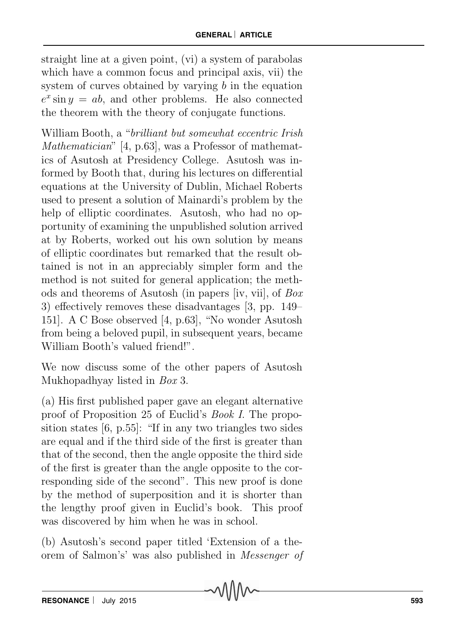straight line at a given point, (vi) a system of parabolas which have a common focus and principal axis, vii) the system of curves obtained by varying  $b$  in the equation  $e^x \sin y = ab$ , and other problems. He also connected the theorem with the theory of conjugate functions.

William Booth, a "*brilliant but somewhat eccentric Irish* Mathematician" [4, p.63], was a Professor of mathematics of Asutosh at Presidency College. Asutosh was informed by Booth that, during his lectures on differential equations at the University of Dublin, Michael Roberts used to present a solution of Mainardi's problem by the help of elliptic coordinates. Asutosh, who had no opportunity of examining the unpublished solution arrived at by Roberts, worked out his own solution by means of elliptic coordinates but remarked that the result obtained is not in an appreciably simpler form and the method is not suited for general application; the methods and theorems of Asutosh (in papers [iv, vii], of Box 3) effectively removes these disadvantages [3, pp. 149– 151]. A C Bose observed [4, p.63], "No wonder Asutosh from being a beloved pupil, in subsequent years, became William Booth's valued friend!".

We now discuss some of the other papers of Asutosh Mukhopadhyay listed in Box 3.

(a) His first published paper gave an elegant alternative proof of Proposition 25 of Euclid's Book I. The proposition states [6, p.55]: "If in any two triangles two sides are equal and if the third side of the first is greater than that of the second, then the angle opposite the third side of the first is greater than the angle opposite to the corresponding side of the second". This new proof is done by the method of superposition and it is shorter than the lengthy proof given in Euclid's book. This proof was discovered by him when he was in school.

(b) Asutosh's second paper titled 'Extension of a theorem of Salmon's' was also published in Messenger of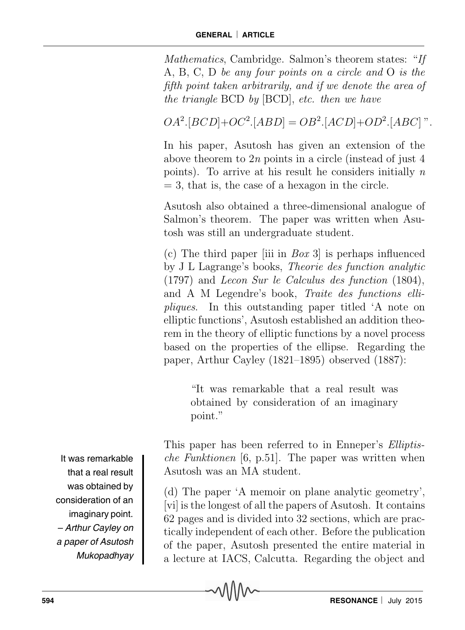Mathematics, Cambridge. Salmon's theorem states: "If A, B, C, D be any four points on a circle and O is the fifth point taken arbitrarily, and if we denote the area of the triangle BCD by [BCD], etc. then we have

 $OA^2.[BCD]+OC^2.[ABD] = OB^2.[ACD]+OD^2.[ABC]$ ".

In his paper, Asutosh has given an extension of the above theorem to 2n points in a circle (instead of just 4 points). To arrive at his result he considers initially  $n$  $= 3$ , that is, the case of a hexagon in the circle.

Asutosh also obtained a three-dimensional analogue of Salmon's theorem. The paper was written when Asutosh was still an undergraduate student.

(c) The third paper (iii in  $Box 3$ ) is perhaps influenced by J L Lagrange's books, Theorie des function analytic (1797) and Lecon Sur le Calculus des function (1804), and A M Legendre's book, Traite des functions ellipliques. In this outstanding paper titled 'A note on elliptic functions', Asutosh established an addition theorem in the theory of elliptic functions by a novel process based on the properties of the ellipse. Regarding the paper, Arthur Cayley (1821–1895) observed (1887):

> "It was remarkable that a real result was obtained by consideration of an imaginary point."

This paper has been referred to in Enneper's Elliptische Funktionen [6, p.51]. The paper was written when Asutosh was an MA student.

(d) The paper 'A memoir on plane analytic geometry', [vi] is the longest of all the papers of Asutosh. It contains 62 pages and is divided into 32 sections, which are practically independent of each other. Before the publication of the paper, Asutosh presented the entire material in a lecture at IACS, Calcutta. Regarding the object and

It was remarkable that a real result was obtained by consideration of an imaginary point. – Arthur Cayley on a paper of Asutosh Mukopadhyay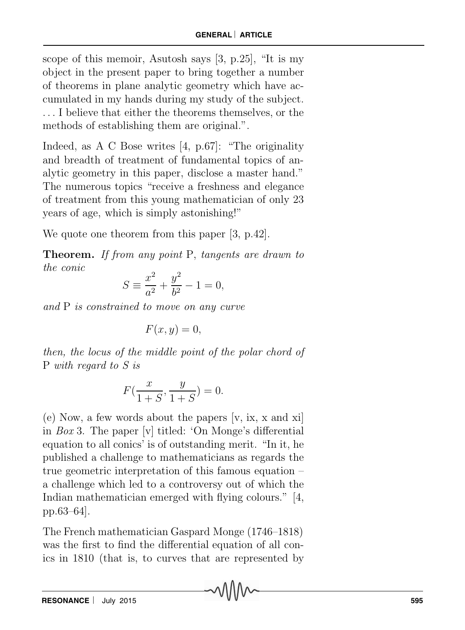scope of this memoir, Asutosh says [3, p.25], "It is my object in the present paper to bring together a number of theorems in plane analytic geometry which have accumulated in my hands during my study of the subject. ... I believe that either the theorems themselves, or the methods of establishing them are original.".

Indeed, as A C Bose writes [4, p.67]: "The originality and breadth of treatment of fundamental topics of analytic geometry in this paper, disclose a master hand." The numerous topics "receive a freshness and elegance of treatment from this young mathematician of only 23 years of age, which is simply astonishing!"

We quote one theorem from this paper [3, p.42].

Theorem. If from any point P, tangents are drawn to the conic

$$
S \equiv \frac{x^2}{a^2} + \frac{y^2}{b^2} - 1 = 0,
$$

and P is constrained to move on any curve

$$
F(x,y) = 0,
$$

then, the locus of the middle point of the polar chord of P with regard to S is

$$
F(\frac{x}{1+S}, \frac{y}{1+S}) = 0.
$$

(e) Now, a few words about the papers [v, ix, x and xi] in Box 3. The paper [v] titled: 'On Monge's differential equation to all conics' is of outstanding merit. "In it, he published a challenge to mathematicians as regards the true geometric interpretation of this famous equation – a challenge which led to a controversy out of which the Indian mathematician emerged with flying colours." [4, pp.63–64].

The French mathematician Gaspard Monge (1746–1818) was the first to find the differential equation of all conics in 1810 (that is, to curves that are represented by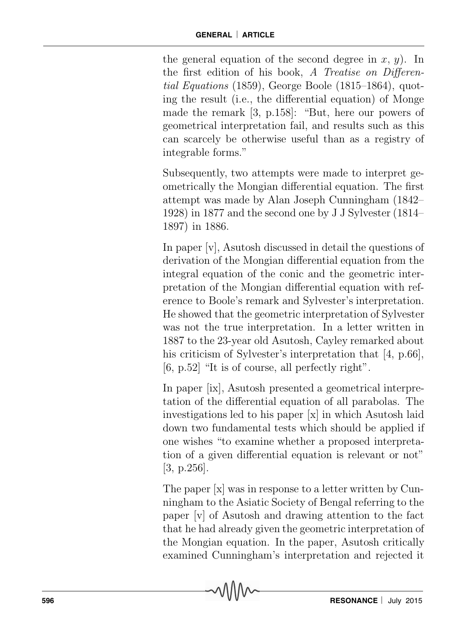the general equation of the second degree in  $x, y$ . In the first edition of his book, A Treatise on Differential Equations (1859), George Boole (1815–1864), quoting the result (i.e., the differential equation) of Monge made the remark [3, p.158]: "But, here our powers of geometrical interpretation fail, and results such as this can scarcely be otherwise useful than as a registry of integrable forms."

Subsequently, two attempts were made to interpret geometrically the Mongian differential equation. The first attempt was made by Alan Joseph Cunningham (1842– 1928) in 1877 and the second one by J J Sylvester (1814– 1897) in 1886.

In paper [v], Asutosh discussed in detail the questions of derivation of the Mongian differential equation from the integral equation of the conic and the geometric interpretation of the Mongian differential equation with reference to Boole's remark and Sylvester's interpretation. He showed that the geometric interpretation of Sylvester was not the true interpretation. In a letter written in 1887 to the 23-year old Asutosh, Cayley remarked about his criticism of Sylvester's interpretation that [4, p.66], [6, p.52] "It is of course, all perfectly right".

In paper [ix], Asutosh presented a geometrical interpretation of the differential equation of all parabolas. The investigations led to his paper [x] in which Asutosh laid down two fundamental tests which should be applied if one wishes "to examine whether a proposed interpretation of a given differential equation is relevant or not" [3, p.256].

The paper [x] was in response to a letter written by Cunningham to the Asiatic Society of Bengal referring to the paper [v] of Asutosh and drawing attention to the fact that he had already given the geometric interpretation of the Mongian equation. In the paper, Asutosh critically examined Cunningham's interpretation and rejected it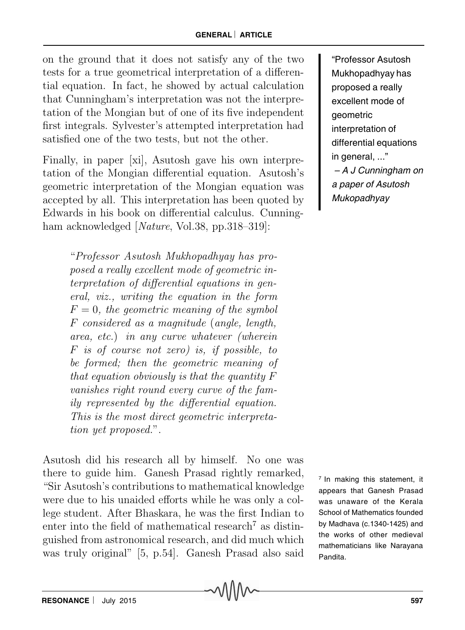on the ground that it does not satisfy any of the two tests for a true geometrical interpretation of a differential equation. In fact, he showed by actual calculation that Cunningham's interpretation was not the interpretation of the Mongian but of one of its five independent first integrals. Sylvester's attempted interpretation had satisfied one of the two tests, but not the other.

Finally, in paper [xi], Asutosh gave his own interpretation of the Mongian differential equation. Asutosh's geometric interpretation of the Mongian equation was accepted by all. This interpretation has been quoted by Edwards in his book on differential calculus. Cunningham acknowledged [*Nature*, Vol.38, pp.318–319]:

> "Professor Asutosh Mukhopadhyay has proposed a really excellent mode of geometric interpretation of differential equations in general, viz., writing the equation in the form  $F = 0$ , the geometric meaning of the symbol F considered as a magnitude (angle, length, area, etc.) in any curve whatever (wherein F is of course not zero) is, if possible, to be formed; then the geometric meaning of that equation obviously is that the quantity  $F$ vanishes right round every curve of the family represented by the differential equation. This is the most direct geometric interpretation yet proposed.".

Asutosh did his research all by himself. No one was there to guide him. Ganesh Prasad rightly remarked, "Sir Asutosh's contributions to mathematical knowledge were due to his unaided efforts while he was only a college student. After Bhaskara, he was the first Indian to enter into the field of mathematical research<sup>7</sup> as distinguished from astronomical research, and did much which was truly original" [5, p.54]. Ganesh Prasad also said

"Professor Asutosh Mukhopadhyay has proposed a really excellent mode of geometric interpretation of differential equations in general, ..." – A J Cunningham on a paper of Asutosh Mukopadhyay

 $<sup>7</sup>$  In making this statement, it</sup> appears that Ganesh Prasad was unaware of the Kerala School of Mathematics founded by Madhava (c.1340-1425) and the works of other medieval mathematicians like Narayana Pandita.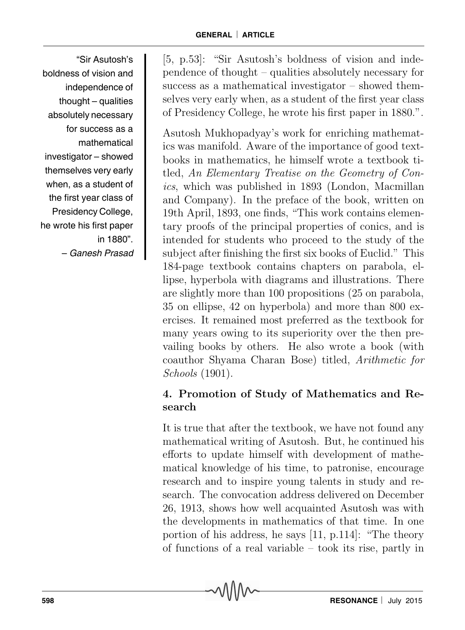"Sir Asutosh's boldness of vision and independence of thought – qualities absolutely necessary for success as a mathematical investigator – showed themselves very early when, as a student of the first year class of Presidency College, he wrote his first paper in 1880". – Ganesh Prasad [5, p.53]: "Sir Asutosh's boldness of vision and independence of thought – qualities absolutely necessary for success as a mathematical investigator – showed themselves very early when, as a student of the first year class of Presidency College, he wrote his first paper in 1880.".

Asutosh Mukhopadyay's work for enriching mathematics was manifold. Aware of the importance of good textbooks in mathematics, he himself wrote a textbook titled, An Elementary Treatise on the Geometry of Conics, which was published in 1893 (London, Macmillan and Company). In the preface of the book, written on 19th April, 1893, one finds, "This work contains elementary proofs of the principal properties of conics, and is intended for students who proceed to the study of the subject after finishing the first six books of Euclid." This 184-page textbook contains chapters on parabola, ellipse, hyperbola with diagrams and illustrations. There are slightly more than 100 propositions (25 on parabola, 35 on ellipse, 42 on hyperbola) and more than 800 exercises. It remained most preferred as the textbook for many years owing to its superiority over the then prevailing books by others. He also wrote a book (with coauthor Shyama Charan Bose) titled, Arithmetic for Schools (1901).

# 4. Promotion of Study of Mathematics and Research

It is true that after the textbook, we have not found any mathematical writing of Asutosh. But, he continued his efforts to update himself with development of mathematical knowledge of his time, to patronise, encourage research and to inspire young talents in study and research. The convocation address delivered on December 26, 1913, shows how well acquainted Asutosh was with the developments in mathematics of that time. In one portion of his address, he says [11, p.114]: "The theory of functions of a real variable – took its rise, partly in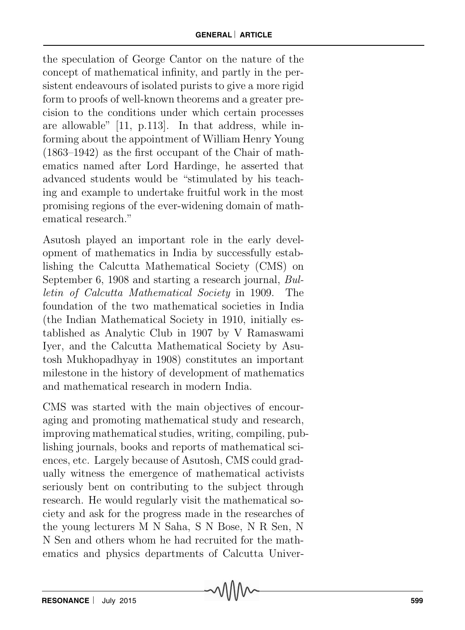the speculation of George Cantor on the nature of the concept of mathematical infinity, and partly in the persistent endeavours of isolated purists to give a more rigid form to proofs of well-known theorems and a greater precision to the conditions under which certain processes are allowable" [11, p.113]. In that address, while informing about the appointment of William Henry Young (1863–1942) as the first occupant of the Chair of mathematics named after Lord Hardinge, he asserted that advanced students would be "stimulated by his teaching and example to undertake fruitful work in the most promising regions of the ever-widening domain of mathematical research."

Asutosh played an important role in the early development of mathematics in India by successfully establishing the Calcutta Mathematical Society (CMS) on September 6, 1908 and starting a research journal, Bulletin of Calcutta Mathematical Society in 1909. The foundation of the two mathematical societies in India (the Indian Mathematical Society in 1910, initially established as Analytic Club in 1907 by V Ramaswami Iyer, and the Calcutta Mathematical Society by Asutosh Mukhopadhyay in 1908) constitutes an important milestone in the history of development of mathematics and mathematical research in modern India.

CMS was started with the main objectives of encouraging and promoting mathematical study and research, improving mathematical studies, writing, compiling, publishing journals, books and reports of mathematical sciences, etc. Largely because of Asutosh, CMS could gradually witness the emergence of mathematical activists seriously bent on contributing to the subject through research. He would regularly visit the mathematical society and ask for the progress made in the researches of the young lecturers M N Saha, S N Bose, N R Sen, N N Sen and others whom he had recruited for the mathematics and physics departments of Calcutta Univer-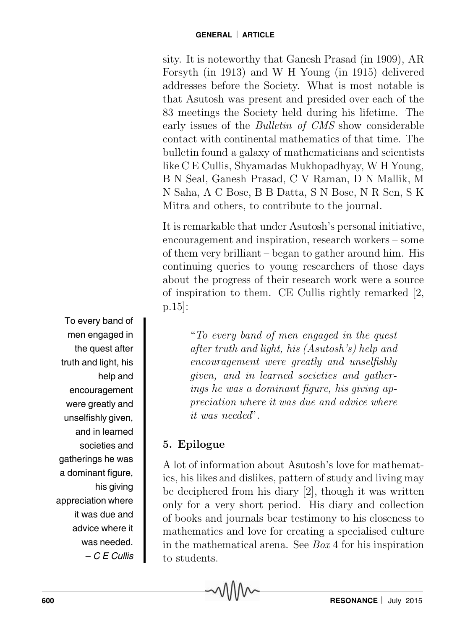sity. It is noteworthy that Ganesh Prasad (in 1909), AR Forsyth (in 1913) and W H Young (in 1915) delivered addresses before the Society. What is most notable is that Asutosh was present and presided over each of the 83 meetings the Society held during his lifetime. The early issues of the Bulletin of CMS show considerable contact with continental mathematics of that time. The bulletin found a galaxy of mathematicians and scientists like C E Cullis, Shyamadas Mukhopadhyay, W H Young, B N Seal, Ganesh Prasad, C V Raman, D N Mallik, M N Saha, A C Bose, B B Datta, S N Bose, N R Sen, S K Mitra and others, to contribute to the journal.

It is remarkable that under Asutosh's personal initiative, encouragement and inspiration, research workers – some of them very brilliant – began to gather around him. His continuing queries to young researchers of those days about the progress of their research work were a source of inspiration to them. CE Cullis rightly remarked [2, p.15]:

> "To every band of men engaged in the quest after truth and light, his (Asutosh's) help and encouragement were greatly and unselfishly given, and in learned societies and gatherings he was a dominant figure, his giving appreciation where it was due and advice where it was needed".

# 5. Epilogue

A lot of information about Asutosh's love for mathematics, his likes and dislikes, pattern of study and living may be deciphered from his diary [2], though it was written only for a very short period. His diary and collection of books and journals bear testimony to his closeness to mathematics and love for creating a specialised culture in the mathematical arena. See Box 4 for his inspiration to students.

To every band of men engaged in the quest after truth and light, his help and encouragement were greatly and unselfishly given, and in learned societies and gatherings he was a dominant figure, his giving appreciation where it was due and advice where it was needed. – C E Cullis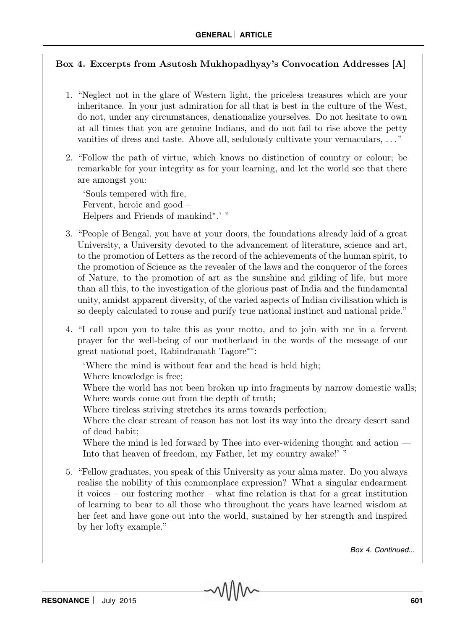### Box 4. Excerpts from Asutosh Mukhopadhyay's Convocation Addresses [A]

- 1. "Neglect not in the glare of Western light, the priceless treasures which are your inheritance. In your just admiration for all that is best in the culture of the West, do not, under any circumstances, denationalize yourselves. Do not hesitate to own at all times that you are genuine Indians, and do not fail to rise above the petty vanities of dress and taste. Above all, sedulously cultivate your vernaculars, . . . "
- 2. "Follow the path of virtue, which knows no distinction of country or colour; be remarkable for your integrity as for your learning, and let the world see that there are amongst you:

'Souls tempered with fire, Fervent, heroic and good – Helpers and Friends of mankind<sup>∗</sup>.' "

- 3. "People of Bengal, you have at your doors, the foundations already laid of a great University, a University devoted to the advancement of literature, science and art, to the promotion of Letters as the record of the achievements of the human spirit, to the promotion of Science as the revealer of the laws and the conqueror of the forces of Nature, to the promotion of art as the sunshine and gilding of life, but more than all this, to the investigation of the glorious past of India and the fundamental unity, amidst apparent diversity, of the varied aspects of Indian civilisation which is so deeply calculated to rouse and purify true national instinct and national pride."
- 4. "I call upon you to take this as your motto, and to join with me in a fervent prayer for the well-being of our motherland in the words of the message of our great national poet, Rabindranath Tagore∗∗:

'Where the mind is without fear and the head is held high;

Where knowledge is free;

Where the world has not been broken up into fragments by narrow domestic walls; Where words come out from the depth of truth;

Where tireless striving stretches its arms towards perfection;

Where the clear stream of reason has not lost its way into the dreary desert sand of dead habit;

Where the mind is led forward by Thee into ever-widening thought and action  $-$ Into that heaven of freedom, my Father, let my country awake!' "

5. "Fellow graduates, you speak of this University as your alma mater. Do you always realise the nobility of this commonplace expression? What a singular endearment it voices – our fostering mother – what fine relation is that for a great institution of learning to bear to all those who throughout the years have learned wisdom at her feet and have gone out into the world, sustained by her strength and inspired by her lofty example."

Box 4. Continued...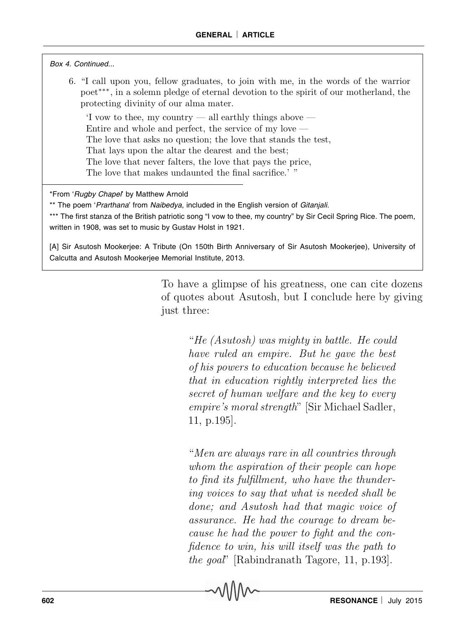#### Box 4. Continued...

6. "I call upon you, fellow graduates, to join with me, in the words of the warrior poet∗∗∗, in a solemn pledge of eternal devotion to the spirit of our motherland, the protecting divinity of our alma mater.

'I vow to thee, my country — all earthly things above — Entire and whole and perfect, the service of my love — The love that asks no question; the love that stands the test, That lays upon the altar the dearest and the best; The love that never falters, the love that pays the price, The love that makes undaunted the final sacrifice.' "

\*From 'Rugby Chapel' by Matthew Arnold

\*\* The poem 'Prarthana' from Naibedya, included in the English version of Gitanjali.

\*\*\* The first stanza of the British patriotic song "I vow to thee, my country" by Sir Cecil Spring Rice. The poem, written in 1908, was set to music by Gustav Holst in 1921.

[A] Sir Asutosh Mookerjee: A Tribute (On 150th Birth Anniversary of Sir Asutosh Mookerjee), University of Calcutta and Asutosh Mookerjee Memorial Institute, 2013.

> To have a glimpse of his greatness, one can cite dozens of quotes about Asutosh, but I conclude here by giving just three:

> > "He (Asutosh) was mighty in battle. He could have ruled an empire. But he gave the best of his powers to education because he believed that in education rightly interpreted lies the secret of human welfare and the key to every empire's moral strength" [Sir Michael Sadler, 11, p.195].

> > "Men are always rare in all countries through whom the aspiration of their people can hope to find its fulfillment, who have the thundering voices to say that what is needed shall be done; and Asutosh had that magic voice of assurance. He had the courage to dream because he had the power to fight and the confidence to win, his will itself was the path to the goal" [Rabindranath Tagore, 11, p.193].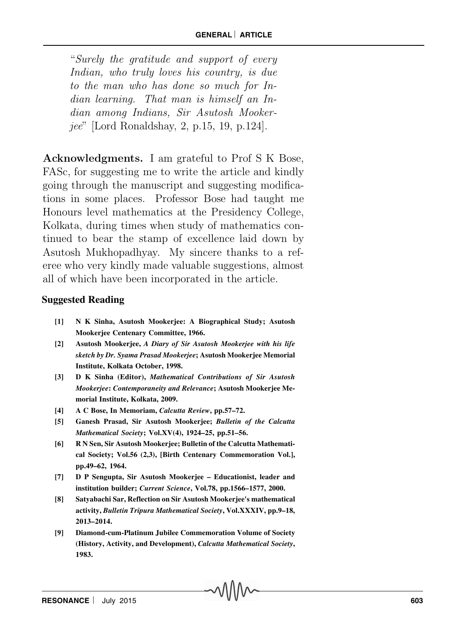"Surely the gratitude and support of every Indian, who truly loves his country, is due to the man who has done so much for Indian learning. That man is himself an Indian among Indians, Sir Asutosh Mookerjee" [Lord Ronaldshay, 2, p.15, 19, p.124].

Acknowledgments. I am grateful to Prof S K Bose, FASc, for suggesting me to write the article and kindly going through the manuscript and suggesting modifications in some places. Professor Bose had taught me Honours level mathematics at the Presidency College, Kolkata, during times when study of mathematics continued to bear the stamp of excellence laid down by Asutosh Mukhopadhyay. My sincere thanks to a referee who very kindly made valuable suggestions, almost all of which have been incorporated in the article.

#### **Suggested Reading**

- **[1] N K Sinha, Asutosh Mookerjee: A Biographical Study; Asutosh Mookerjee Centenary Committee, 1966.**
- **[2] Asutosh Mookerjee,** *A Diary of Sir Asutosh Mookerjee with his life sketch by Dr. Syama Prasad Mookerjee***; Asutosh Mookerjee Memorial Institute, Kolkata October, 1998.**
- **[3] D K Sinha (Editor),** *Mathematical Contributions of Sir Asutosh Mookerjee***:** *Contemporaneity and Relevance***; Asutosh Mookerjee Memorial Institute, Kolkata, 2009.**
- **[4] A C Bose, In Memoriam,** *Calcutta Review***, pp.57–72.**
- **[5] Ganesh Prasad, Sir Asutosh Mookerjee;** *Bulletin of the Calcutta Mathematical Society***; Vol.XV(4), 1924–25, pp.51–56.**
- **[6] R N Sen, Sir Asutosh Mookerjee; Bulletin of the Calcutta Mathematical Society; Vol.56 (2,3), [Birth Centenary Commemoration Vol.], pp.49–62, 1964.**
- **[7] D P Sengupta, Sir Asutosh Mookerjee Educationist, leader and institution builder;** *Current Science***, Vol.78, pp.1566–1577, 2000.**
- **[8] Satyabachi Sar, Reflection on Sir Asutosh Mookerjee's mathematical activity,** *Bulletin Tripura Mathematical Society***, Vol.XXXIV, pp.9–18, 2013–2014.**
- **[9] Diamond-cum-Platinum Jubilee Commemoration Volume of Society (History, Activity, and Development),** *Calcutta Mathematical Society***, 1983.**